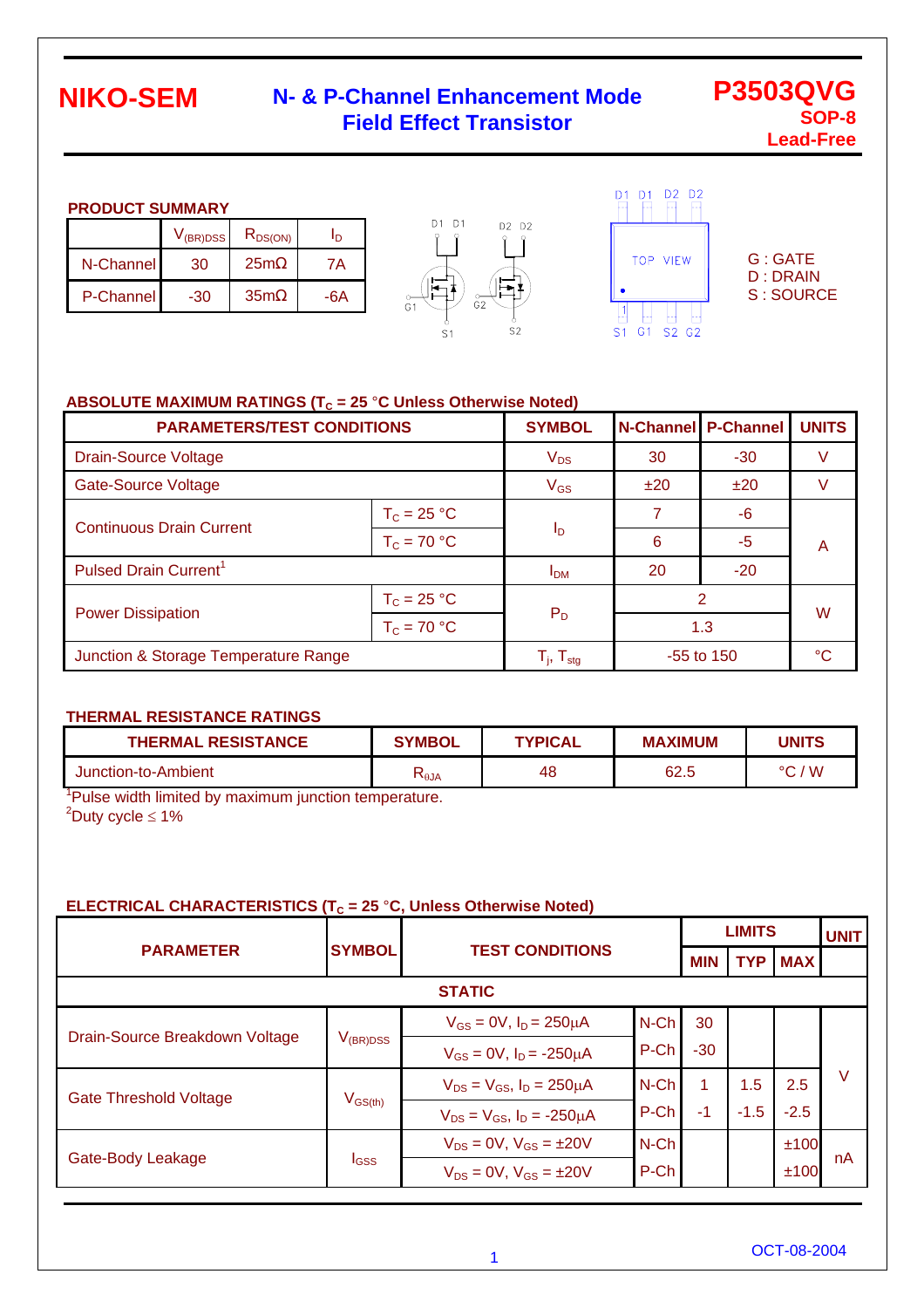### **N- & P-Channel Enhancement Mode Field Effect Transistor**

**P3503QVG SOP-8 Lead-Free**

#### **PRODUCT SUMMARY**

|           | $V_{(BR)DSS}$ | $R_{DS(ON)}$    | 'n  |
|-----------|---------------|-----------------|-----|
| N-Channel | 30            | 25m             | 7Α  |
| P-Channel | -30           | 35 <sub>m</sub> | -6A |





G : GATE D : DRAIN S : SOURCE

#### ABSOLUTE MAXIMUM RATINGS (T<sub>C</sub> = 25 °C Unless Otherwise Noted)

| <b>PARAMETERS/TEST CONDITIONS</b>    | <b>SYMBOL</b>                                         |              | <b>N-Channel P-Channel</b> | <b>UNITS</b> |   |  |
|--------------------------------------|-------------------------------------------------------|--------------|----------------------------|--------------|---|--|
| <b>Drain-Source Voltage</b>          | $V_{DS}$                                              | 30           | $-30$                      | V            |   |  |
| <b>Gate-Source Voltage</b>           | $V_{GS}$                                              | ±20          | ±20                        |              |   |  |
| <b>Continuous Drain Current</b>      | $T_c = 25 °C$                                         | Ιp           | 7                          | -6           |   |  |
|                                      | $T_c = 70 °C$                                         |              | 6                          | -5           | A |  |
| Pulsed Drain Current <sup>1</sup>    | I <sub>DM</sub>                                       | 20           | $-20$                      |              |   |  |
| $T_c = 25 °C$                        |                                                       |              | 2                          |              |   |  |
| <b>Power Dissipation</b>             | $T_c = 70 °C$                                         | $P_D$        | 1.3                        |              | W |  |
| Junction & Storage Temperature Range | $\mathsf{T}_{\mathsf{j}},\,\mathsf{T}_{\mathsf{stg}}$ | $-55$ to 150 |                            | °C           |   |  |

#### **THERMAL RESISTANCE RATINGS**

| <b>THERMAL RESISTANCE</b> | <b>SYMBOL</b>   | <b>TYPICAL</b> | <b>MAXIMUM</b> | <b>UNITS</b> |
|---------------------------|-----------------|----------------|----------------|--------------|
| Junction-to-Ambient       | $R_{\theta}$ JA | 48             | 62.5           | 'W<br>$\sim$ |

<sup>1</sup>Pulse width limited by maximum junction temperature.  $2^2$ Duty cycle  $\leq 1\%$ 

#### **ELECTRICAL CHARACTERISTICS (T<sub>c</sub> = 25 °C, Unless Otherwise Noted)**

|                                |                                | <b>TEST CONDITIONS</b>                 |         | <b>LIMITS</b> | <b>UNIT</b> |            |    |
|--------------------------------|--------------------------------|----------------------------------------|---------|---------------|-------------|------------|----|
| <b>PARAMETER</b>               | <b>SYMBOL</b>                  |                                        |         | MIN           | <b>TYP</b>  | <b>MAX</b> |    |
| <b>STATIC</b>                  |                                |                                        |         |               |             |            |    |
| Drain-Source Breakdown Voltage | $V_{(BR)DSS}$                  | $V_{GS} = 0V$ , $I_D = 250 \mu A$      | $N$ -Ch | 30            |             |            |    |
|                                |                                | $V_{GS} = 0V$ , $I_D = -250 \mu A$     | P-Ch    | $-30$         |             |            |    |
| <b>Gate Threshold Voltage</b>  | $\mathsf{V}_{\mathsf{GS(th)}}$ | $V_{DS} = V_{GS}$ , $I_D = 250 \mu A$  | $N$ -Ch |               | 1.5         | 2.5        | V  |
|                                |                                | $V_{DS} = V_{GS}$ , $I_D = -250 \mu A$ | P-Ch    | $-1$          | $-1.5$      | $-2.5$     |    |
| Gate-Body Leakage              | <b>I</b> GSS                   | $V_{DS} = 0V$ , $V_{GS} = \pm 20V$     | $N$ -Ch |               |             | ±100       |    |
|                                |                                | $V_{DS} = 0V$ , $V_{GS} = \pm 20V$     | P-Ch    |               |             | ±100       | nA |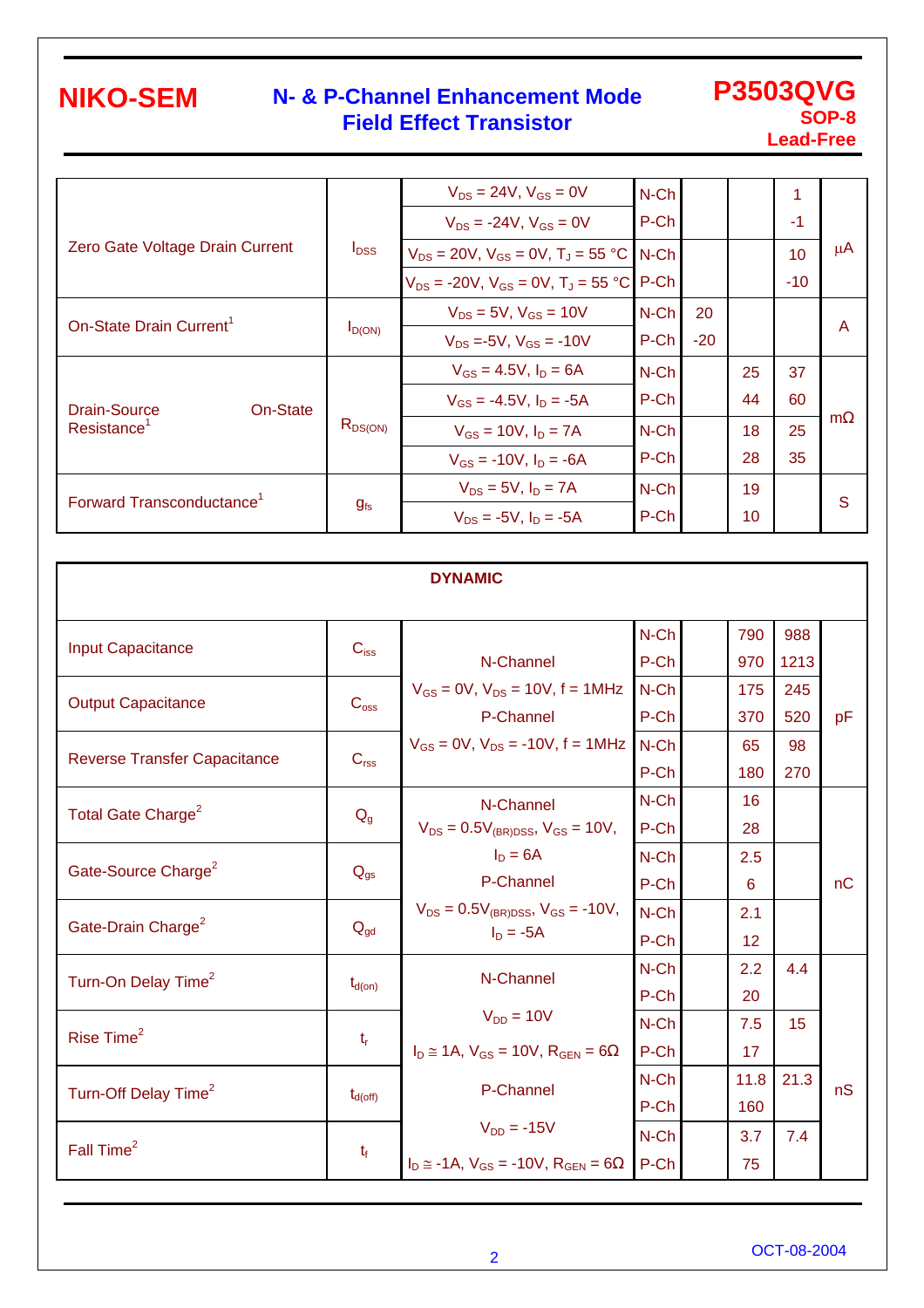### **N- & P-Channel Enhancement Mode Field Effect Transistor**

**P3503QVG SOP-8 Lead-Free**

|                                       |                  | $V_{DS} = 24V$ , $V_{GS} = 0V$                  | $N$ -Ch |       |    |                 |         |
|---------------------------------------|------------------|-------------------------------------------------|---------|-------|----|-----------------|---------|
|                                       |                  | $V_{DS}$ = -24V, $V_{GS}$ = 0V                  | P-Ch    |       |    | $-1$            |         |
| Zero Gate Voltage Drain Current       | $I_{\text{DSS}}$ | $V_{DS}$ = 20V, $V_{GS}$ = 0V, $T_{J}$ = 55 °C  | N-Ch    |       |    | 10 <sup>1</sup> | $\mu$ A |
|                                       |                  | $V_{DS}$ = -20V, $V_{GS}$ = 0V, $T_{J}$ = 55 °C | P-Ch    |       |    | $-10$           |         |
| On-State Drain Current <sup>1</sup>   |                  | $V_{DS} = 5V$ , $V_{GS} = 10V$                  | $N$ -Ch | 20    |    |                 | A       |
|                                       | $I_{D(ON)}$      | $V_{DS} = -5V$ , $V_{GS} = -10V$                | P-Ch    | $-20$ |    |                 |         |
|                                       |                  | $V_{GS} = 4.5V$ , $I_D = 6A$                    | $N$ -Ch |       | 25 | 37              |         |
| On-State<br><b>Drain-Source</b>       |                  | $V_{GS} = -4.5V$ , $I_D = -5A$                  | P-Ch    |       | 44 | 60              |         |
| Resistance <sup>1</sup>               | $R_{DS(ON)}$     | $V_{GS} = 10V$ , $I_D = 7A$                     | $N$ -Ch |       | 18 | 25              | m       |
|                                       |                  | $V_{GS}$ = -10V, $I_D$ = -6A                    | P-Ch    |       | 28 | 35              |         |
| Forward Transconductance <sup>1</sup> |                  | $V_{DS} = 5V$ , $I_D = 7A$                      | $N$ -Ch |       | 19 |                 | S       |
|                                       | $g_{fs}$         | $V_{DS} = -5V$ , $I_D = -5A$                    | P-Ch    |       | 10 |                 |         |

| <b>DYNAMIC</b>                      |                     |                                                     |         |  |      |      |    |  |  |
|-------------------------------------|---------------------|-----------------------------------------------------|---------|--|------|------|----|--|--|
|                                     |                     |                                                     |         |  |      |      |    |  |  |
| <b>Input Capacitance</b>            | $C_{iss}$           |                                                     | N-Ch    |  | 790  | 988  |    |  |  |
|                                     |                     | N-Channel                                           | P-Ch    |  | 970  | 1213 |    |  |  |
| <b>Output Capacitance</b>           | C <sub>oss</sub>    | $V_{GS} = 0V$ , $V_{DS} = 10V$ , $f = 1MHz$         | N-Ch    |  | 175  | 245  |    |  |  |
|                                     |                     | P-Channel                                           | P-Ch    |  | 370  | 520  | pF |  |  |
|                                     | C <sub>rss</sub>    | $V_{GS} = 0V$ , $V_{DS} = -10V$ , $f = 1MHz$        | N-Ch    |  | 65   | 98   |    |  |  |
| <b>Reverse Transfer Capacitance</b> |                     |                                                     | P-Ch    |  | 180  | 270  |    |  |  |
| Total Gate Charge <sup>2</sup>      |                     | N-Channel                                           | N-Ch    |  | 16   |      |    |  |  |
|                                     | $Q_{q}$             | $V_{DS} = 0.5V_{(BR)DSS}$ , $V_{GS} = 10V$ ,        | P-Ch    |  | 28   |      |    |  |  |
| Gate-Source Charge <sup>2</sup>     | $Q_{gs}$            | $I_D = 6A$                                          | N-Ch    |  | 2.5  |      |    |  |  |
|                                     |                     | P-Channel                                           | P-Ch    |  | 6    |      | nC |  |  |
|                                     | $Q_{gd}$            | $V_{DS} = 0.5V_{(BR)DSS}$ , $V_{GS} = -10V$ ,       | $N$ -Ch |  | 2.1  |      |    |  |  |
| Gate-Drain Charge <sup>2</sup>      |                     | $I_D = -5A$                                         | P-Ch    |  | 12   |      |    |  |  |
|                                     |                     | N-Channel                                           | N-Ch    |  | 2.2  | 4.4  |    |  |  |
| Turn-On Delay Time <sup>2</sup>     | $t_{d(on)}$         |                                                     | P-Ch    |  | 20   |      |    |  |  |
|                                     |                     | $V_{DD} = 10V$                                      | $N$ -Ch |  | 7.5  | 15   |    |  |  |
| Rise Time <sup>2</sup>              | $t_{\rm r}$         | $I_D \approx 1A$ , $V_{GS} = 10V$ , $R_{GEN} = 6$   | P-Ch    |  | 17   |      |    |  |  |
|                                     |                     | P-Channel                                           | N-Ch    |  | 11.8 | 21.3 | nS |  |  |
| Turn-Off Delay Time <sup>2</sup>    | $t_{d(\text{off})}$ |                                                     | P-Ch    |  | 160  |      |    |  |  |
|                                     |                     | $V_{DD} = -15V$                                     | N-Ch    |  | 3.7  | 7.4  |    |  |  |
| Fall Time <sup>2</sup>              | $t_f$               | $I_D \approx -1A$ , $V_{GS} = -10V$ , $R_{GFN} = 6$ | P-Ch    |  | 75   |      |    |  |  |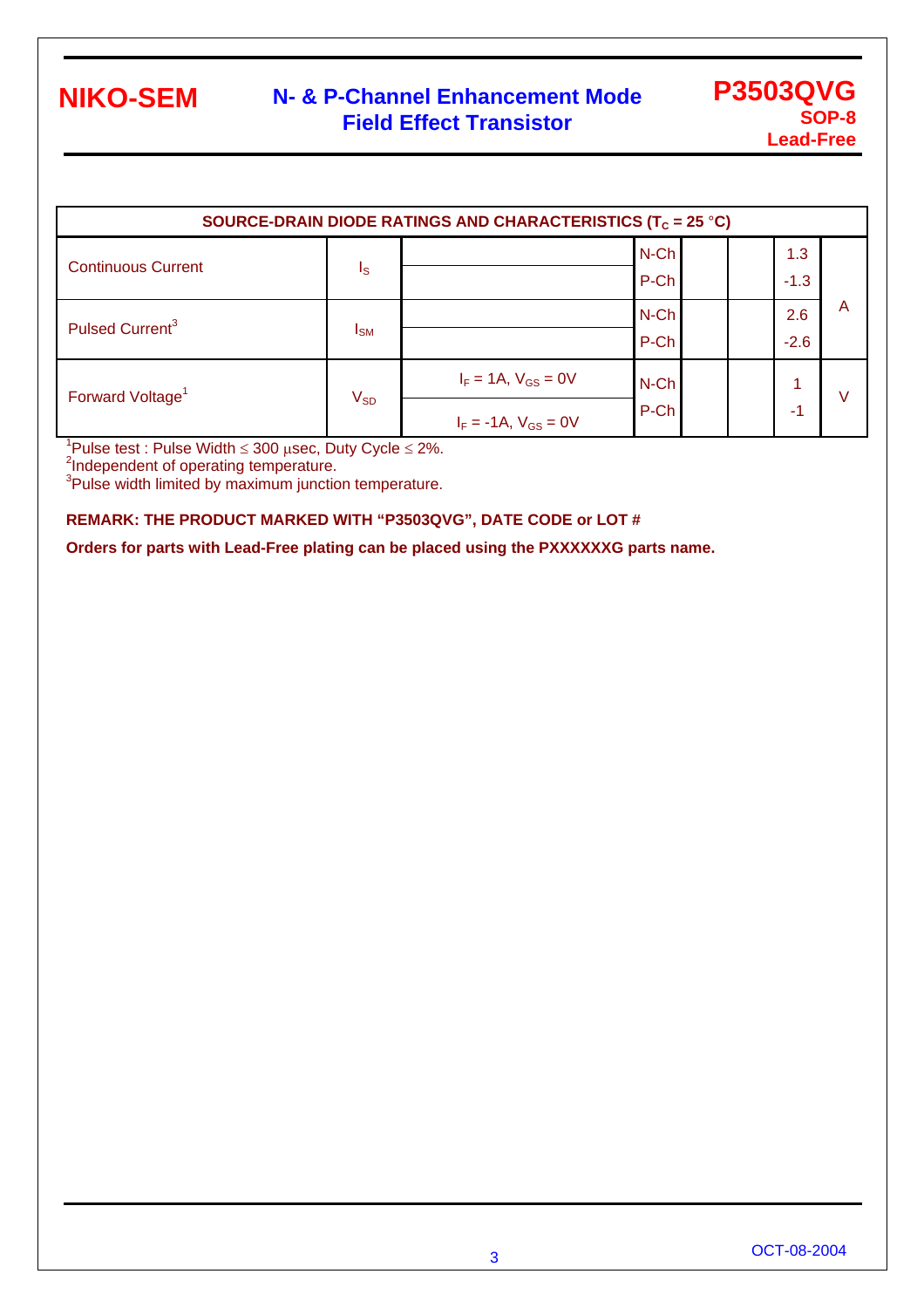### **N- & P-Channel Enhancement Mode Field Effect Transistor**

| SOURCE-DRAIN DIODE RATINGS AND CHARACTERISTICS (T <sub>C</sub> = 25 °C) |                         |                                                           |                 |  |               |   |  |  |
|-------------------------------------------------------------------------|-------------------------|-----------------------------------------------------------|-----------------|--|---------------|---|--|--|
| <b>Continuous Current</b>                                               | $\mathsf{I}_\mathsf{S}$ |                                                           | N-Ch<br>P-Ch    |  | 1.3<br>$-1.3$ |   |  |  |
| Pulsed Current <sup>3</sup>                                             | $I_{SM}$                |                                                           | $N$ -Ch<br>P-Ch |  | 2.6<br>$-2.6$ | A |  |  |
| Forward Voltage <sup>1</sup>                                            | $V_{SD}$                | $I_F = 1A$ , $V_{GS} = 0V$<br>$I_F = -1A$ , $V_{GS} = 0V$ | N-Ch<br>P-Ch    |  | -1            |   |  |  |

 $1$ Pulse test : Pulse Width  $\leq 300$  usec, Duty Cycle  $\leq 2\%$ .

<sup>2</sup>Independent of operating temperature.

<sup>3</sup>Pulse width limited by maximum junction temperature.

#### **REMARK: THE PRODUCT MARKED WITH "P3503QVG", DATE CODE or LOT #**

**Orders for parts with Lead-Free plating can be placed using the PXXXXXXG parts name.**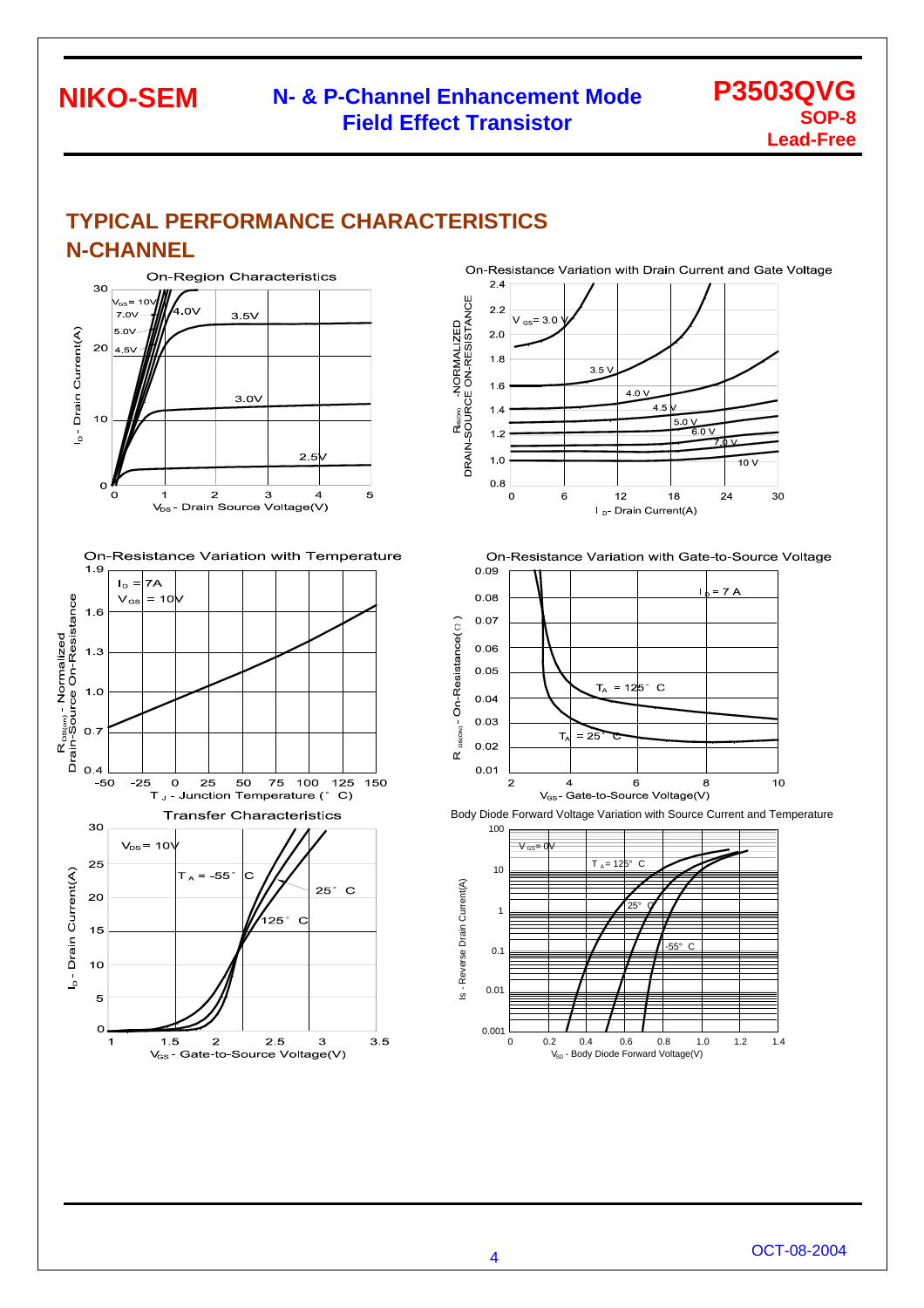### **N- & P-Channel Enhancement Mode Field Effect Transistor**

### **P3503QVG SOP-8 Lead-Free**

### **TYPICAL PERFORMANCE CHARACTERISTICS N-CHANNEL**



On-Resistance Variation with Temperature



On-Resistance Variation with Drain Current and Gate Voltage



On-Resistance Variation with Gate-to-Source Voltage





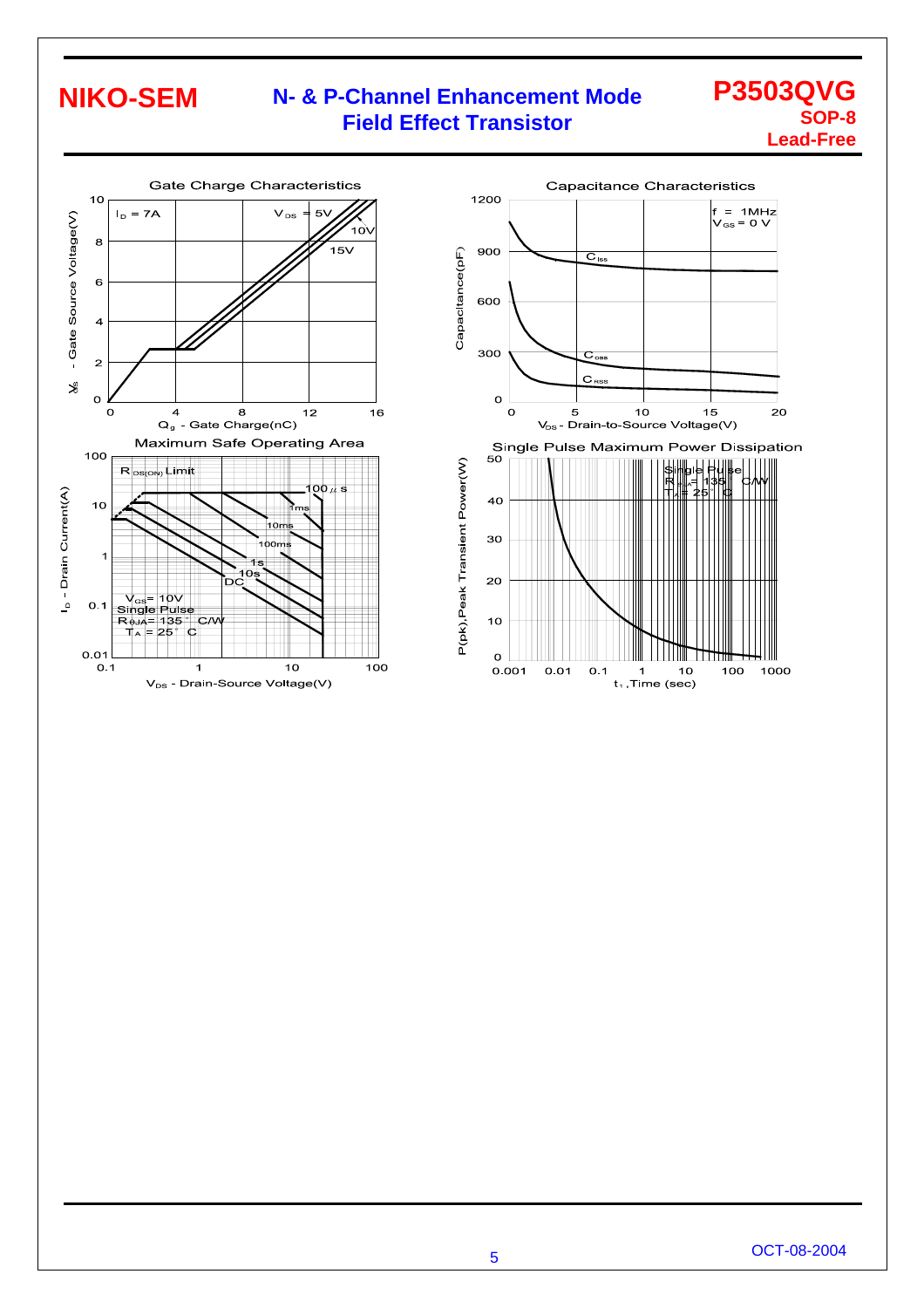### **N- & P-Channel Enhancement Mode Field Effect Transistor**

### **P3503QVG SOP-8 Lead-Free**



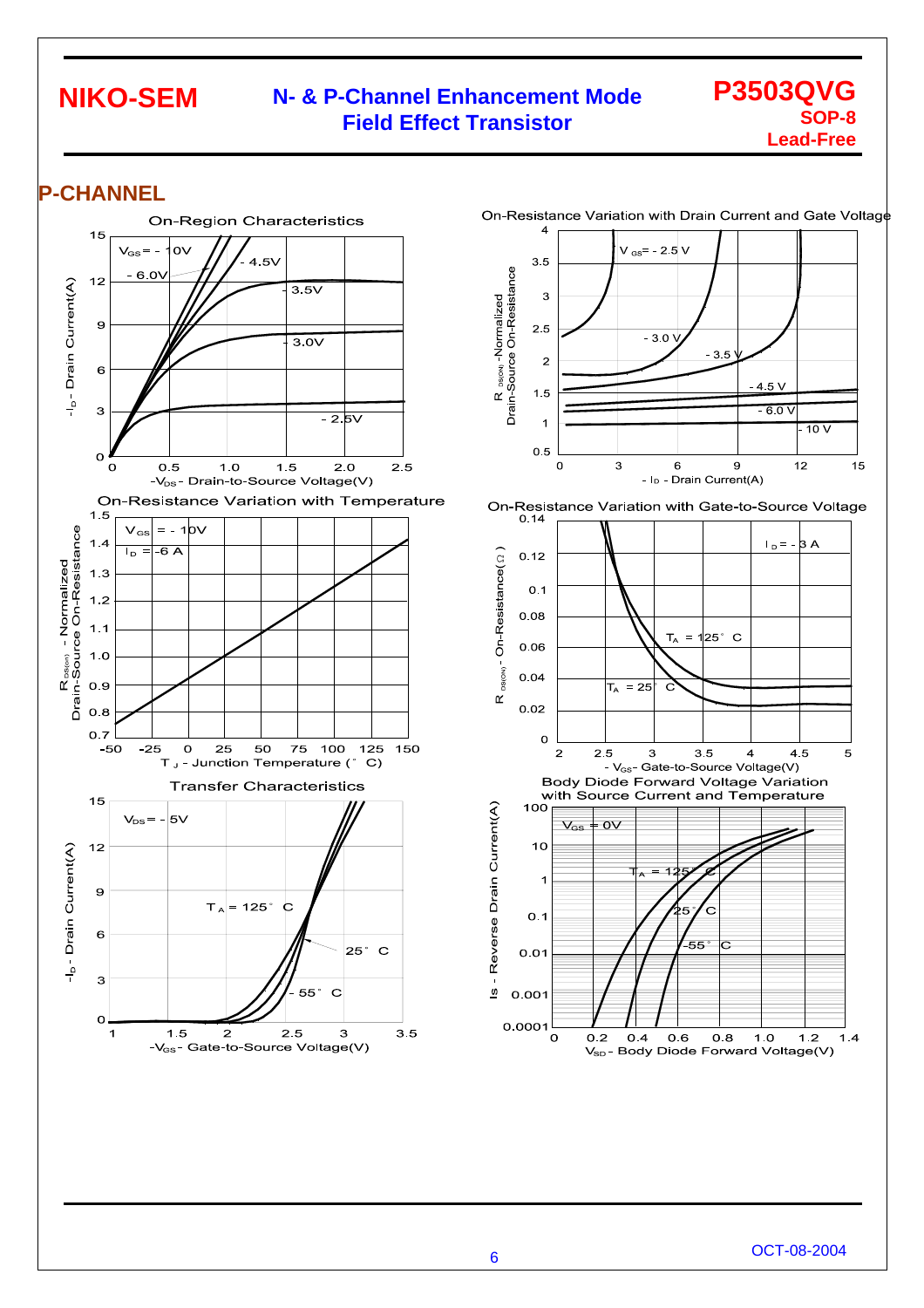### **N- & P-Channel Enhancement Mode Field Effect Transistor**

### **P3503QVG SOP-8 Lead-Free**

### **P-CHANNEL**

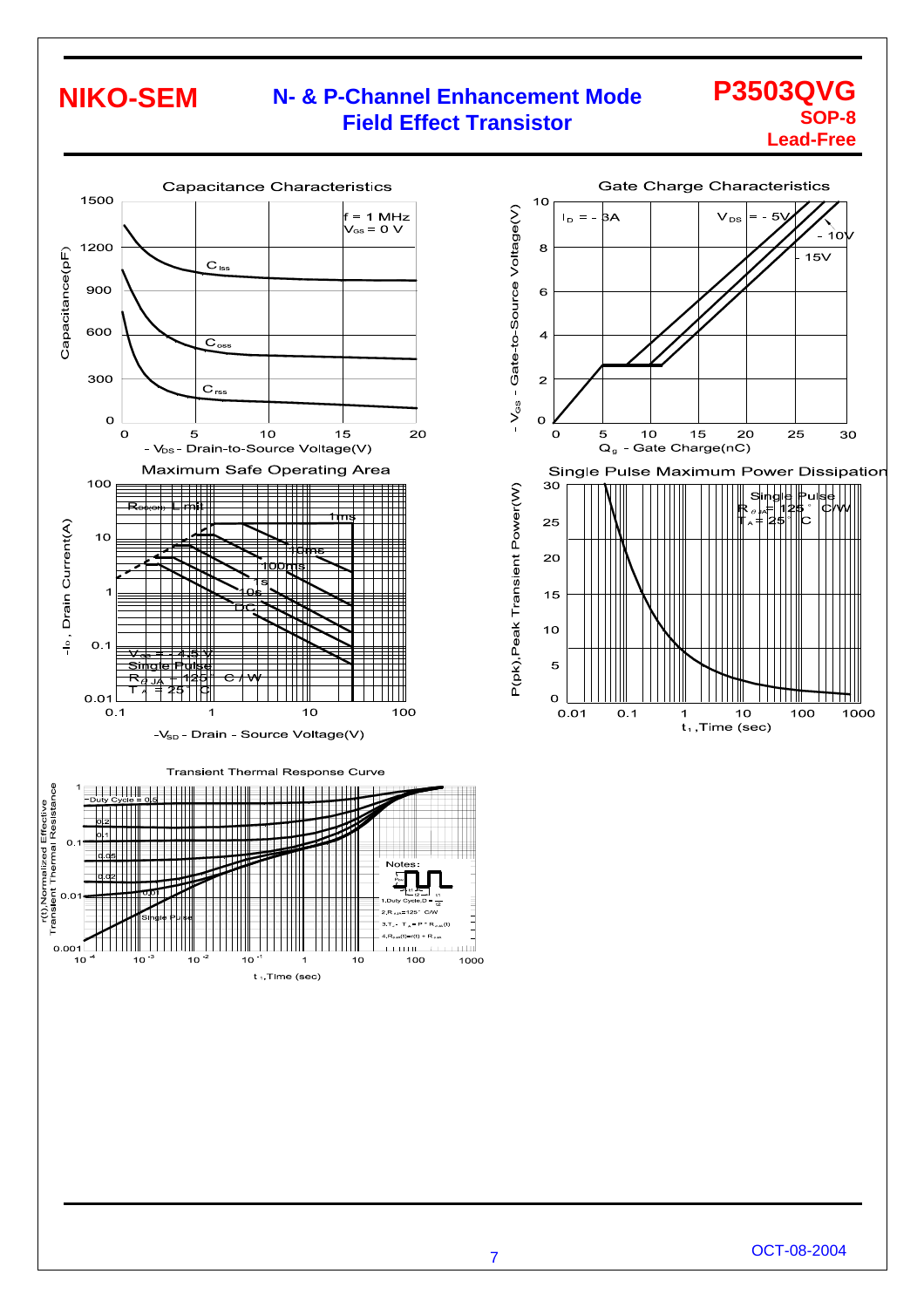### **N- & P-Channel Enhancement Mode Field Effect Transistor**

#### **P3503QVG SOP-8 Lead-Free**